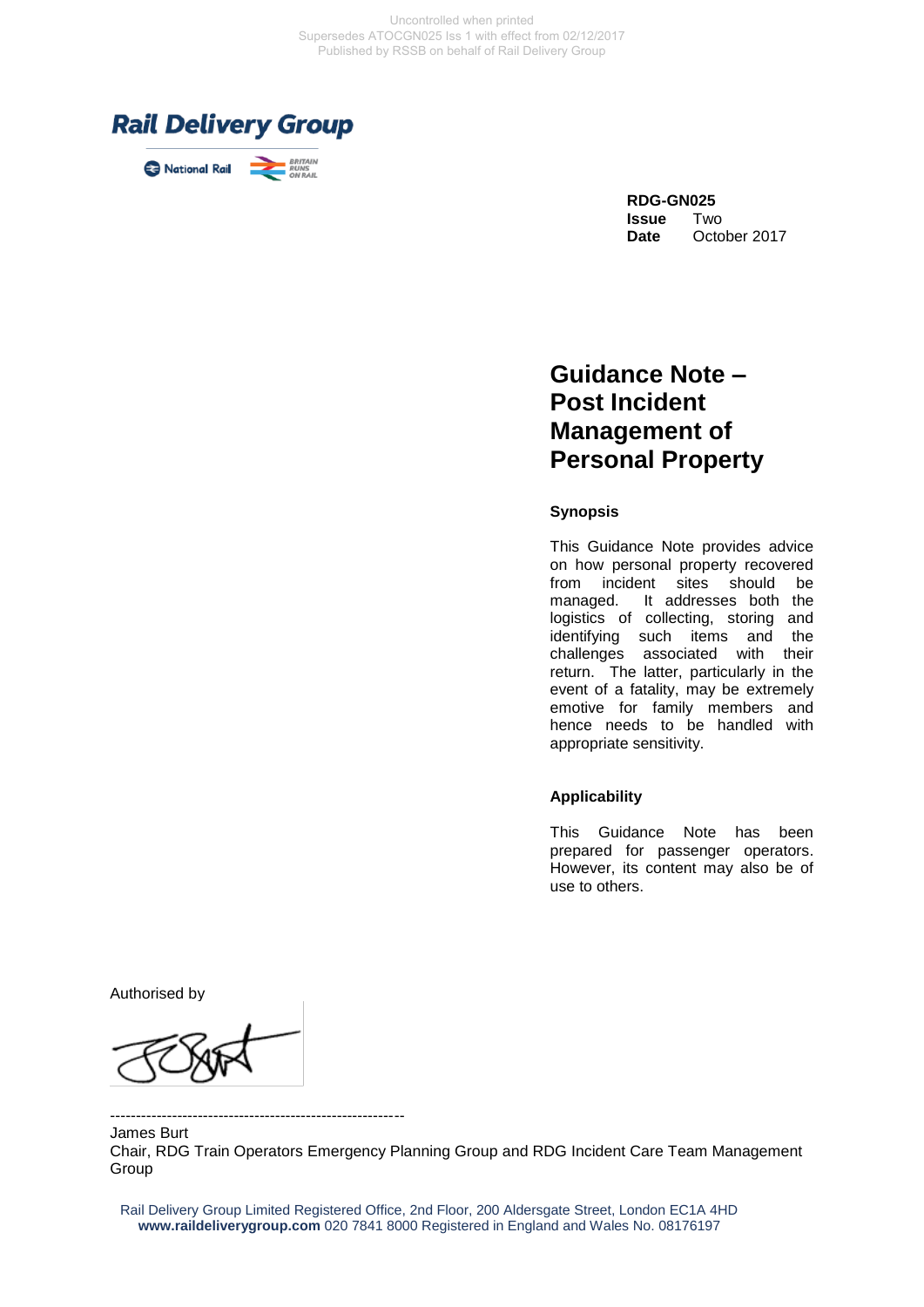

# **Guidance Note – Post Incident Management of Personal Property**

#### **Synopsis**

This Guidance Note provides advice on how personal property recovered from incident sites should be managed. It addresses both the logistics of collecting, storing and identifying such items and the challenges associated with their return. The latter, particularly in the event of a fatality, may be extremely emotive for family members and hence needs to be handled with appropriate sensitivity.

#### **Applicability**

This Guidance Note has been prepared for passenger operators. However, its content may also be of use to others.

Authorised by

--------------------------------------------------------- James Burt Chair, RDG Train Operators Emergency Planning Group and RDG Incident Care Team Management Group

Rail Delivery Group Limited Registered Office, 2nd Floor, 200 Aldersgate Street, London EC1A 4HD **www.raildeliverygroup.com** 020 7841 8000 Registered in England and Wales No. 08176197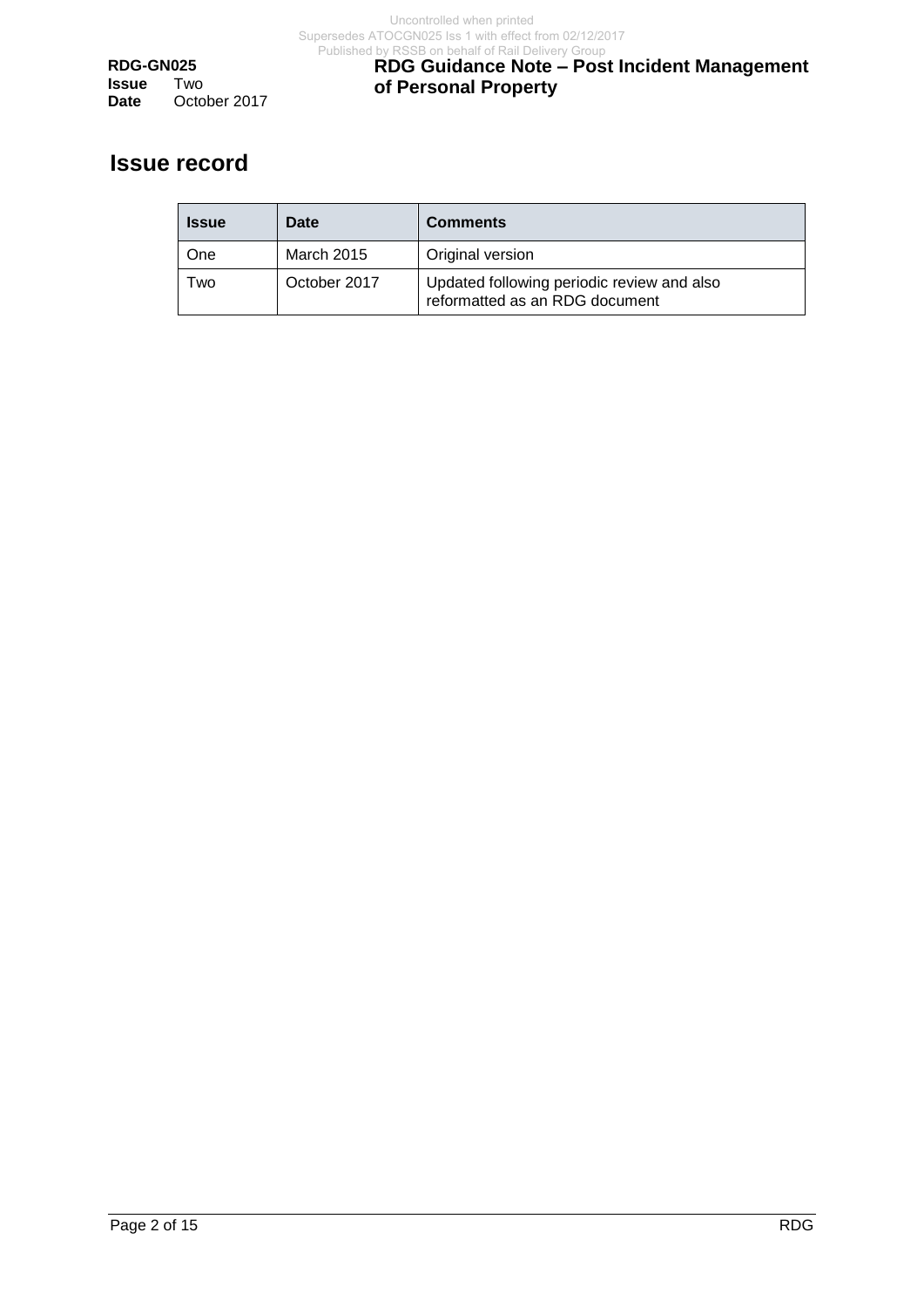**RDG-GN025 Issue** Two<br>Date Octo October 2017

## **RDG Guidance Note – Post Incident Management of Personal Property**

# **Issue record**

| <b>Issue</b> | Date              | <b>Comments</b>                                                              |
|--------------|-------------------|------------------------------------------------------------------------------|
| One          | <b>March 2015</b> | Original version                                                             |
| l wo         | October 2017      | Updated following periodic review and also<br>reformatted as an RDG document |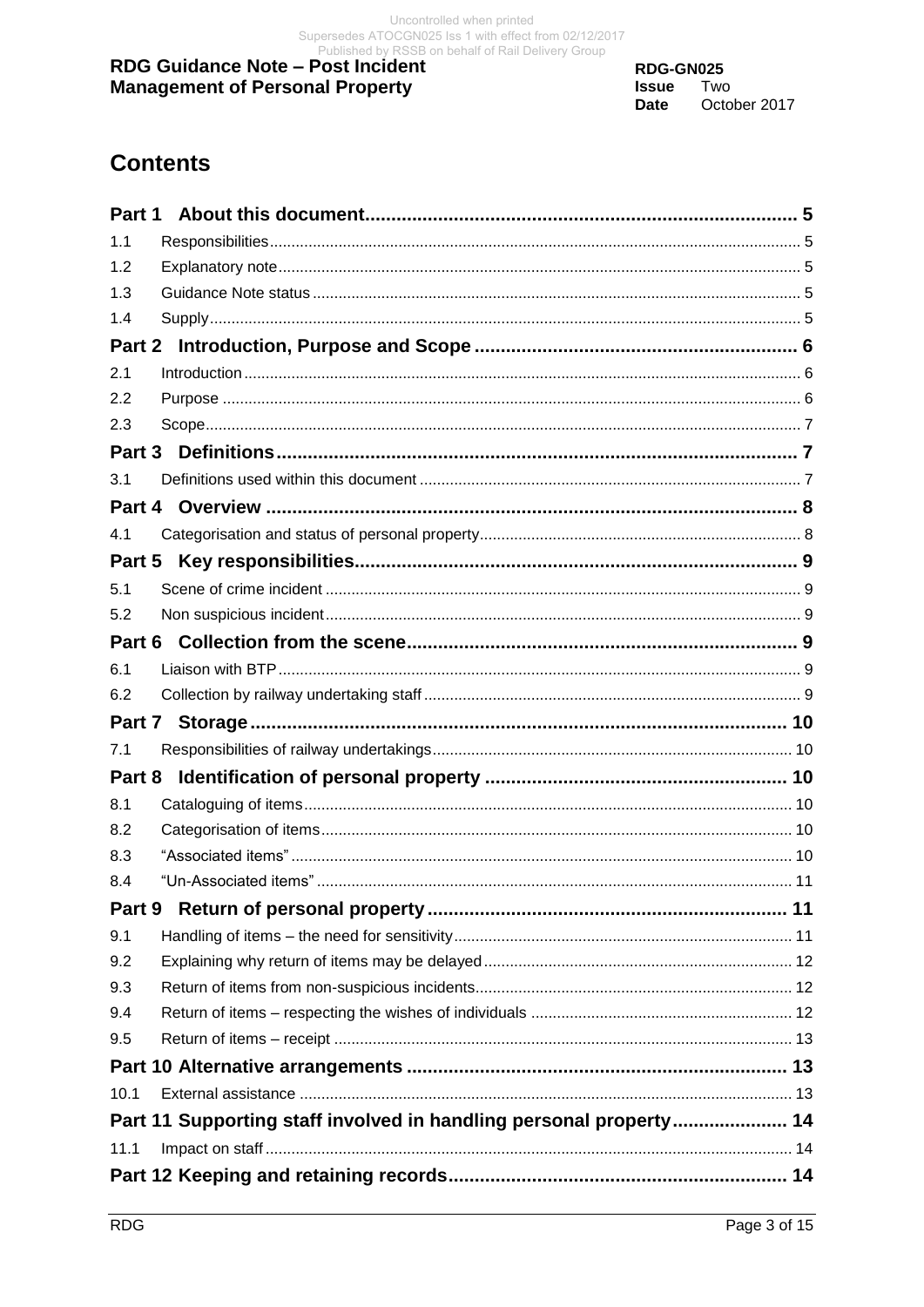RDG-GN025 **Issue** Two **Date** October 2017

# **Contents**

| Part 1        |                                                                    |  |
|---------------|--------------------------------------------------------------------|--|
| 1.1           |                                                                    |  |
| 1.2           |                                                                    |  |
| 1.3           |                                                                    |  |
| 1.4           |                                                                    |  |
| <b>Part 2</b> |                                                                    |  |
| 2.1           |                                                                    |  |
| 2.2           |                                                                    |  |
| 2.3           |                                                                    |  |
| Part 3        |                                                                    |  |
| 3.1           |                                                                    |  |
|               |                                                                    |  |
| 4.1           |                                                                    |  |
| Part 5        |                                                                    |  |
| 5.1           |                                                                    |  |
| 5.2           |                                                                    |  |
|               |                                                                    |  |
| 6.1           |                                                                    |  |
| 6.2           |                                                                    |  |
|               |                                                                    |  |
| 7.1           |                                                                    |  |
| Part 8        |                                                                    |  |
| 8.1           |                                                                    |  |
| 8.2           |                                                                    |  |
| 8.3           |                                                                    |  |
| 8.4           |                                                                    |  |
| Part 9        |                                                                    |  |
| 9.1           |                                                                    |  |
| 9.2           |                                                                    |  |
| 9.3           |                                                                    |  |
| 9.4           |                                                                    |  |
| 9.5           |                                                                    |  |
|               |                                                                    |  |
| 10.1          |                                                                    |  |
|               | Part 11 Supporting staff involved in handling personal property 14 |  |
| 11.1          |                                                                    |  |
|               |                                                                    |  |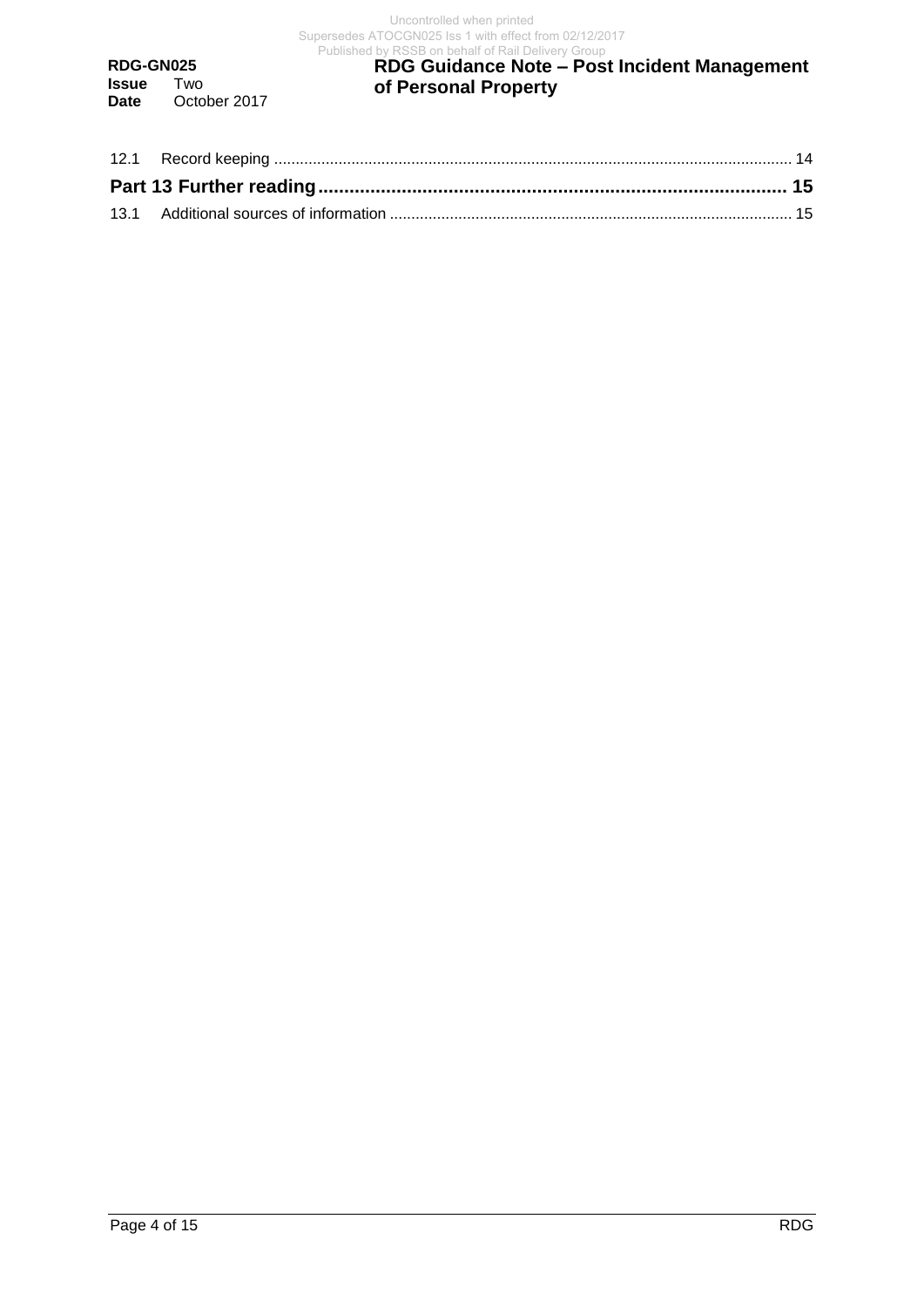**RDG-GN025 Issue** Two<br>Date Octo October 2017

#### **RDG Guidance Note – Post Incident Management of Personal Property** Published by RSSB on behalf of Rail Delivery Group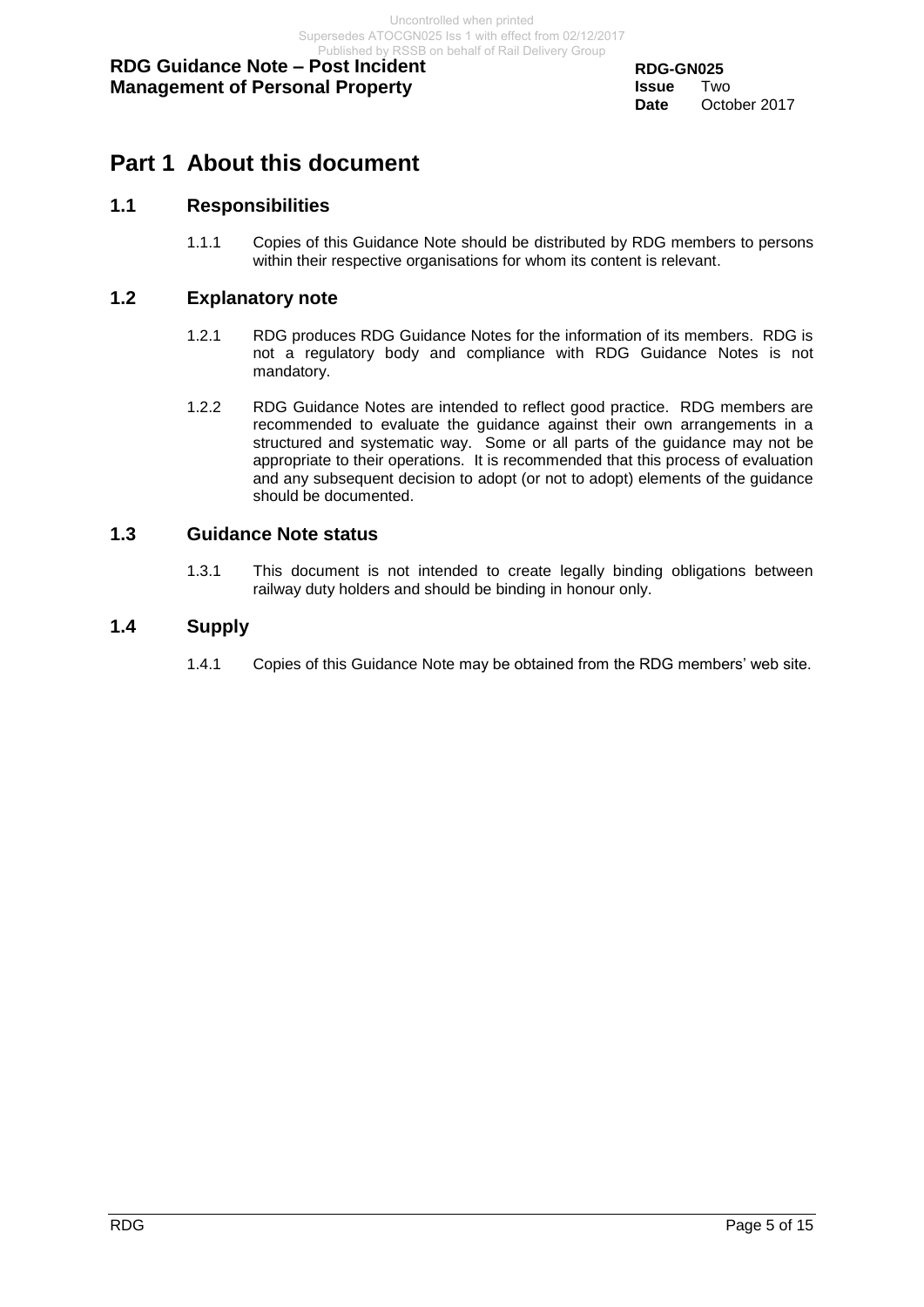## <span id="page-4-0"></span>**Part 1 About this document**

## <span id="page-4-1"></span>**1.1 Responsibilities**

1.1.1 Copies of this Guidance Note should be distributed by RDG members to persons within their respective organisations for whom its content is relevant.

### <span id="page-4-2"></span>**1.2 Explanatory note**

- 1.2.1 RDG produces RDG Guidance Notes for the information of its members. RDG is not a regulatory body and compliance with RDG Guidance Notes is not mandatory.
- 1.2.2 RDG Guidance Notes are intended to reflect good practice. RDG members are recommended to evaluate the guidance against their own arrangements in a structured and systematic way. Some or all parts of the guidance may not be appropriate to their operations. It is recommended that this process of evaluation and any subsequent decision to adopt (or not to adopt) elements of the guidance should be documented.

#### <span id="page-4-3"></span>**1.3 Guidance Note status**

1.3.1 This document is not intended to create legally binding obligations between railway duty holders and should be binding in honour only.

#### <span id="page-4-4"></span>**1.4 Supply**

1.4.1 Copies of this Guidance Note may be obtained from the RDG members' web site.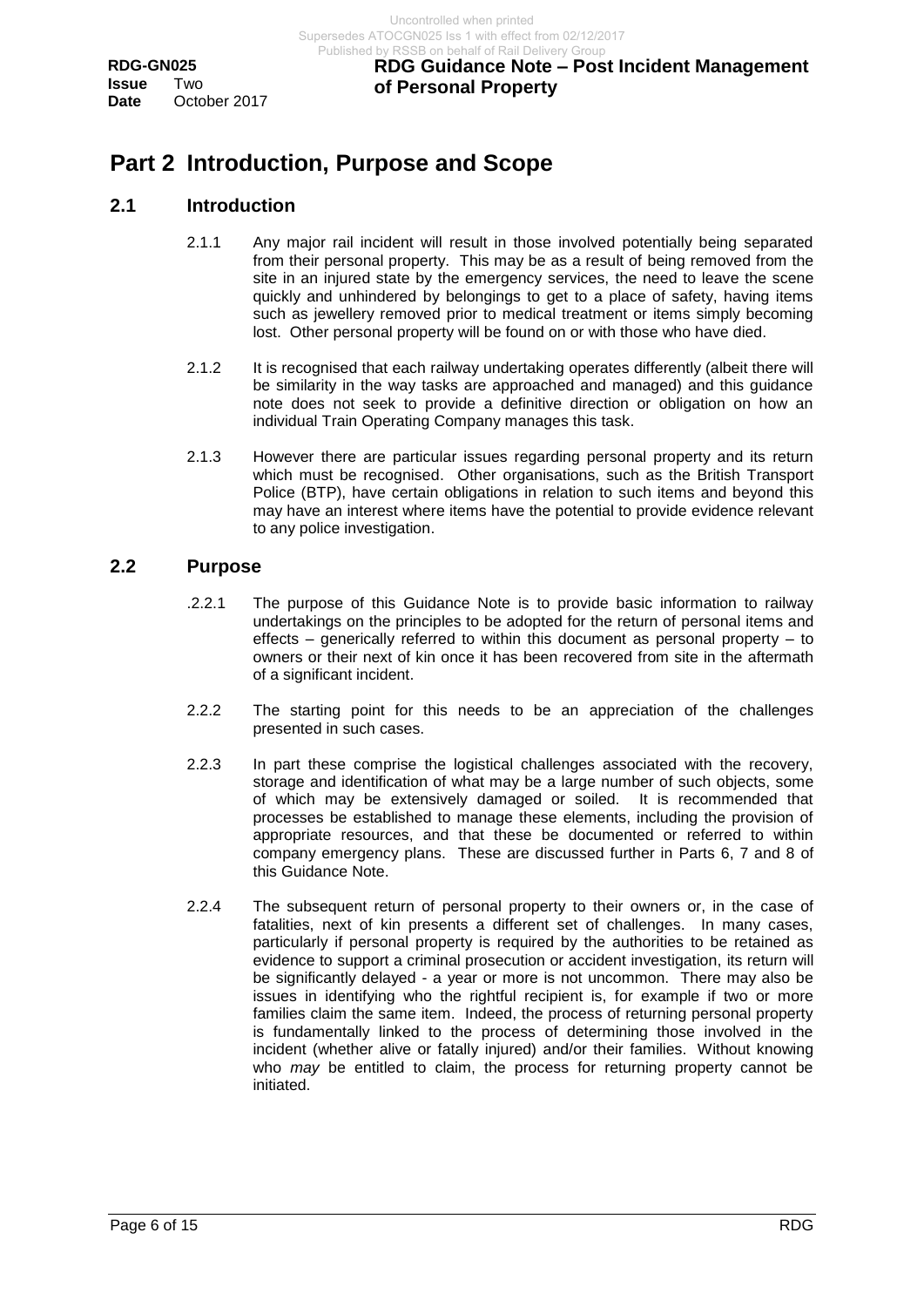## **RDG Guidance Note – Post Incident Management of Personal Property**

# <span id="page-5-0"></span>**Part 2 Introduction, Purpose and Scope**

### <span id="page-5-1"></span>**2.1 Introduction**

- 2.1.1 Any major rail incident will result in those involved potentially being separated from their personal property. This may be as a result of being removed from the site in an injured state by the emergency services, the need to leave the scene quickly and unhindered by belongings to get to a place of safety, having items such as jewellery removed prior to medical treatment or items simply becoming lost. Other personal property will be found on or with those who have died.
- 2.1.2 It is recognised that each railway undertaking operates differently (albeit there will be similarity in the way tasks are approached and managed) and this guidance note does not seek to provide a definitive direction or obligation on how an individual Train Operating Company manages this task.
- 2.1.3 However there are particular issues regarding personal property and its return which must be recognised. Other organisations, such as the British Transport Police (BTP), have certain obligations in relation to such items and beyond this may have an interest where items have the potential to provide evidence relevant to any police investigation.

#### <span id="page-5-2"></span>**2.2 Purpose**

- .2.2.1 The purpose of this Guidance Note is to provide basic information to railway undertakings on the principles to be adopted for the return of personal items and effects – generically referred to within this document as personal property – to owners or their next of kin once it has been recovered from site in the aftermath of a significant incident.
- 2.2.2 The starting point for this needs to be an appreciation of the challenges presented in such cases.
- 2.2.3 In part these comprise the logistical challenges associated with the recovery, storage and identification of what may be a large number of such objects, some of which may be extensively damaged or soiled. It is recommended that processes be established to manage these elements, including the provision of appropriate resources, and that these be documented or referred to within company emergency plans. These are discussed further in Parts 6, 7 and 8 of this Guidance Note.
- 2.2.4 The subsequent return of personal property to their owners or, in the case of fatalities, next of kin presents a different set of challenges. In many cases, particularly if personal property is required by the authorities to be retained as evidence to support a criminal prosecution or accident investigation, its return will be significantly delayed - a year or more is not uncommon. There may also be issues in identifying who the rightful recipient is, for example if two or more families claim the same item. Indeed, the process of returning personal property is fundamentally linked to the process of determining those involved in the incident (whether alive or fatally injured) and/or their families. Without knowing who *may* be entitled to claim, the process for returning property cannot be initiated.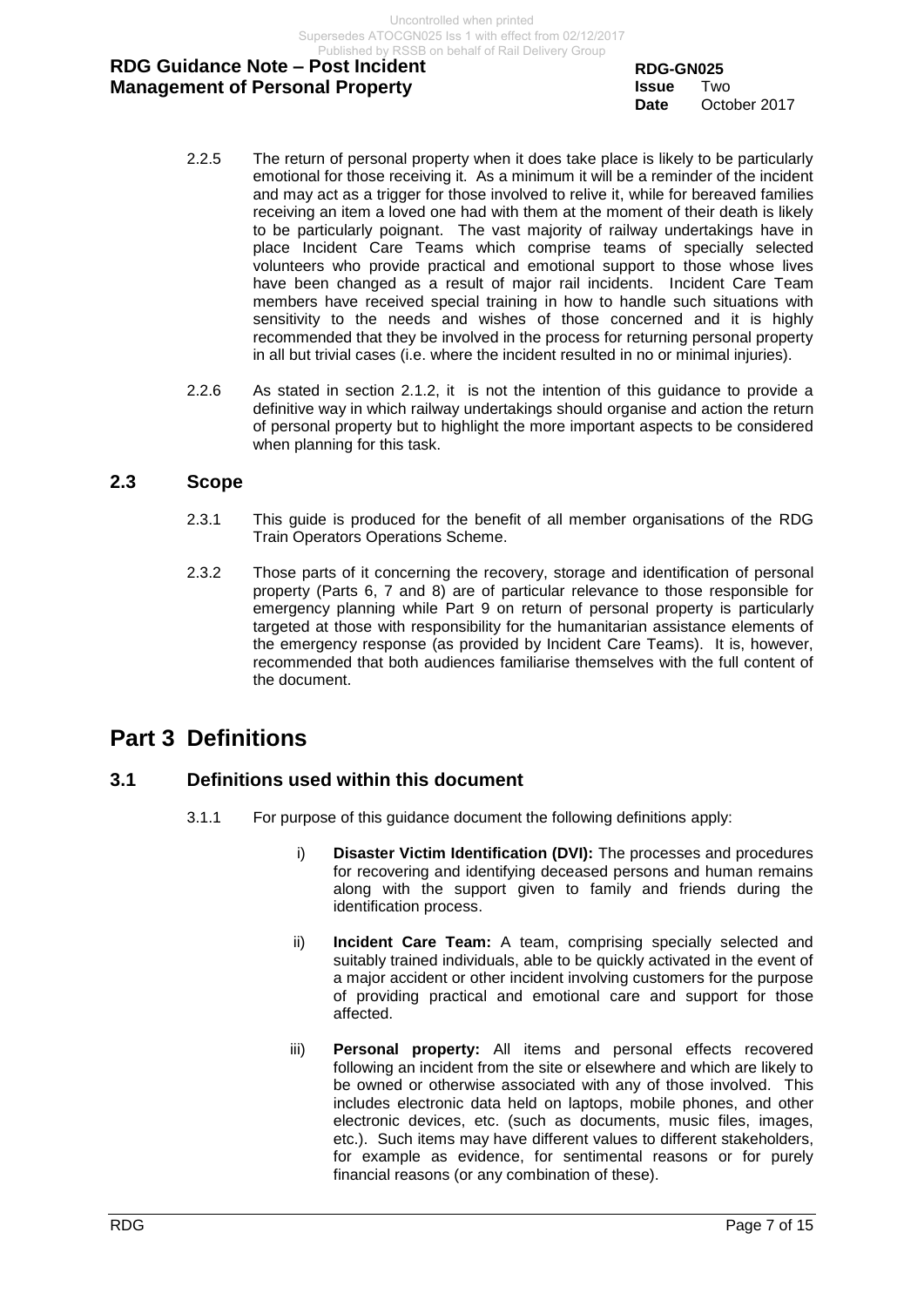Uncontrolled when printed Supersedes ATOCGN025 Iss 1 with effect from 02/12/2017 Published by RSSB on behalf of Rail Delivery Group

## **RDG Guidance Note – Post Incident Management of Personal Property**

**RDG-GN025 Issue** Two **Date** October 2017

- 2.2.5 The return of personal property when it does take place is likely to be particularly emotional for those receiving it. As a minimum it will be a reminder of the incident and may act as a trigger for those involved to relive it, while for bereaved families receiving an item a loved one had with them at the moment of their death is likely to be particularly poignant. The vast majority of railway undertakings have in place Incident Care Teams which comprise teams of specially selected volunteers who provide practical and emotional support to those whose lives have been changed as a result of major rail incidents. Incident Care Team members have received special training in how to handle such situations with sensitivity to the needs and wishes of those concerned and it is highly recommended that they be involved in the process for returning personal property in all but trivial cases (i.e. where the incident resulted in no or minimal injuries).
- 2.2.6 As stated in section 2.1.2, it is not the intention of this guidance to provide a definitive way in which railway undertakings should organise and action the return of personal property but to highlight the more important aspects to be considered when planning for this task.

### <span id="page-6-0"></span>**2.3 Scope**

- 2.3.1 This guide is produced for the benefit of all member organisations of the RDG Train Operators Operations Scheme.
- 2.3.2 Those parts of it concerning the recovery, storage and identification of personal property (Parts 6, 7 and 8) are of particular relevance to those responsible for emergency planning while Part 9 on return of personal property is particularly targeted at those with responsibility for the humanitarian assistance elements of the emergency response (as provided by Incident Care Teams). It is, however, recommended that both audiences familiarise themselves with the full content of the document.

## <span id="page-6-1"></span>**Part 3 Definitions**

## <span id="page-6-2"></span>**3.1 Definitions used within this document**

- 3.1.1 For purpose of this guidance document the following definitions apply:
	- i) **Disaster Victim Identification (DVI):** The processes and procedures for recovering and identifying deceased persons and human remains along with the support given to family and friends during the identification process.
	- ii) **Incident Care Team:** A team, comprising specially selected and suitably trained individuals, able to be quickly activated in the event of a major accident or other incident involving customers for the purpose of providing practical and emotional care and support for those affected.
	- iii) **Personal property:** All items and personal effects recovered following an incident from the site or elsewhere and which are likely to be owned or otherwise associated with any of those involved. This includes electronic data held on laptops, mobile phones, and other electronic devices, etc. (such as documents, music files, images, etc.). Such items may have different values to different stakeholders, for example as evidence, for sentimental reasons or for purely financial reasons (or any combination of these).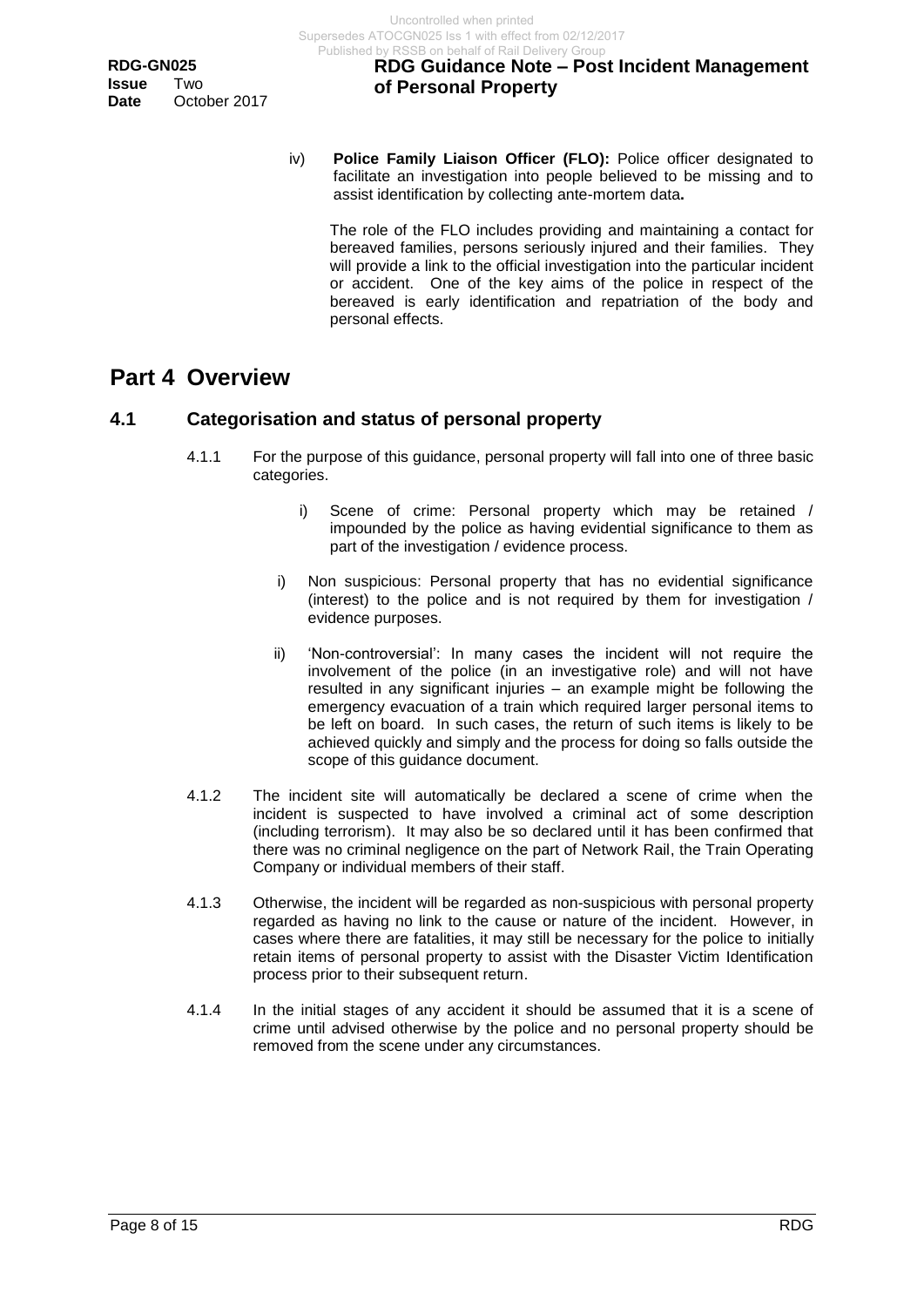iv) **Police Family Liaison Officer (FLO):** Police officer designated to facilitate an investigation into people believed to be missing and to assist identification by collecting ante-mortem data**.**

The role of the FLO includes providing and maintaining a contact for bereaved families, persons seriously injured and their families. They will provide a link to the official investigation into the particular incident or accident. One of the key aims of the police in respect of the bereaved is early identification and repatriation of the body and personal effects.

## <span id="page-7-0"></span>**Part 4 Overview**

## <span id="page-7-1"></span>**4.1 Categorisation and status of personal property**

- 4.1.1 For the purpose of this guidance, personal property will fall into one of three basic categories.
	- i) Scene of crime: Personal property which may be retained / impounded by the police as having evidential significance to them as part of the investigation / evidence process.
	- i) Non suspicious: Personal property that has no evidential significance (interest) to the police and is not required by them for investigation / evidence purposes.
	- ii) 'Non-controversial': In many cases the incident will not require the involvement of the police (in an investigative role) and will not have resulted in any significant injuries – an example might be following the emergency evacuation of a train which required larger personal items to be left on board. In such cases, the return of such items is likely to be achieved quickly and simply and the process for doing so falls outside the scope of this guidance document.
- 4.1.2 The incident site will automatically be declared a scene of crime when the incident is suspected to have involved a criminal act of some description (including terrorism). It may also be so declared until it has been confirmed that there was no criminal negligence on the part of Network Rail, the Train Operating Company or individual members of their staff.
- 4.1.3 Otherwise, the incident will be regarded as non-suspicious with personal property regarded as having no link to the cause or nature of the incident. However, in cases where there are fatalities, it may still be necessary for the police to initially retain items of personal property to assist with the Disaster Victim Identification process prior to their subsequent return.
- 4.1.4 In the initial stages of any accident it should be assumed that it is a scene of crime until advised otherwise by the police and no personal property should be removed from the scene under any circumstances.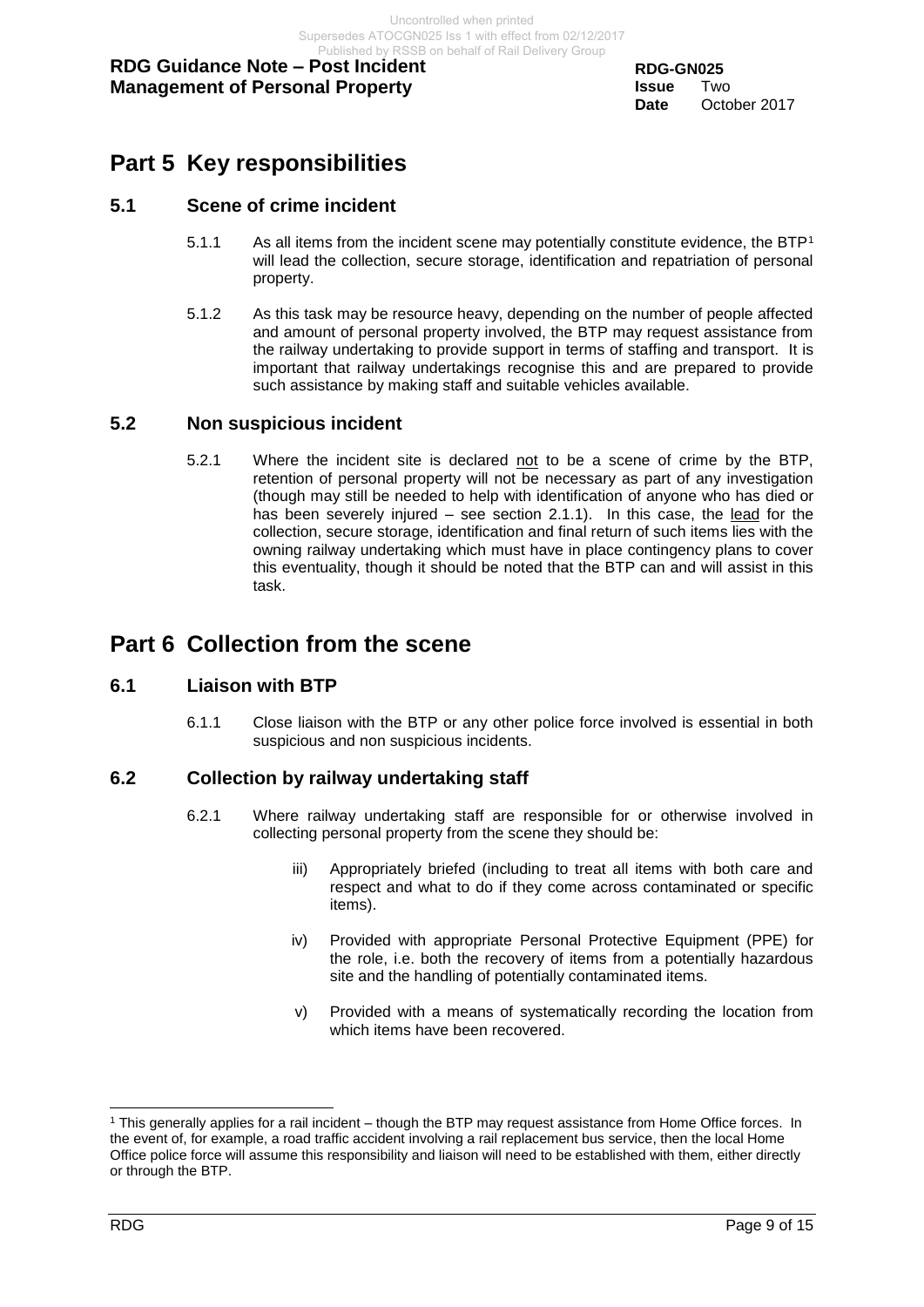# <span id="page-8-0"></span>**Part 5 Key responsibilities**

### <span id="page-8-1"></span>**5.1 Scene of crime incident**

- 5.1.1 As all items from the incident scene may potentially constitute evidence, the BTP<sup>1</sup> will lead the collection, secure storage, identification and repatriation of personal property.
- 5.1.2 As this task may be resource heavy, depending on the number of people affected and amount of personal property involved, the BTP may request assistance from the railway undertaking to provide support in terms of staffing and transport. It is important that railway undertakings recognise this and are prepared to provide such assistance by making staff and suitable vehicles available.

#### <span id="page-8-2"></span>**5.2 Non suspicious incident**

5.2.1 Where the incident site is declared not to be a scene of crime by the BTP, retention of personal property will not be necessary as part of any investigation (though may still be needed to help with identification of anyone who has died or has been severely injured – see section 2.1.1). In this case, the lead for the collection, secure storage, identification and final return of such items lies with the owning railway undertaking which must have in place contingency plans to cover this eventuality, though it should be noted that the BTP can and will assist in this task.

## <span id="page-8-3"></span>**Part 6 Collection from the scene**

#### <span id="page-8-4"></span>**6.1 Liaison with BTP**

6.1.1 Close liaison with the BTP or any other police force involved is essential in both suspicious and non suspicious incidents.

#### <span id="page-8-5"></span>**6.2 Collection by railway undertaking staff**

- 6.2.1 Where railway undertaking staff are responsible for or otherwise involved in collecting personal property from the scene they should be:
	- iii) Appropriately briefed (including to treat all items with both care and respect and what to do if they come across contaminated or specific items).
	- iv) Provided with appropriate Personal Protective Equipment (PPE) for the role, i.e. both the recovery of items from a potentially hazardous site and the handling of potentially contaminated items.
	- v) Provided with a means of systematically recording the location from which items have been recovered.

l  $1$  This generally applies for a rail incident – though the BTP may request assistance from Home Office forces. In the event of, for example, a road traffic accident involving a rail replacement bus service, then the local Home Office police force will assume this responsibility and liaison will need to be established with them, either directly or through the BTP.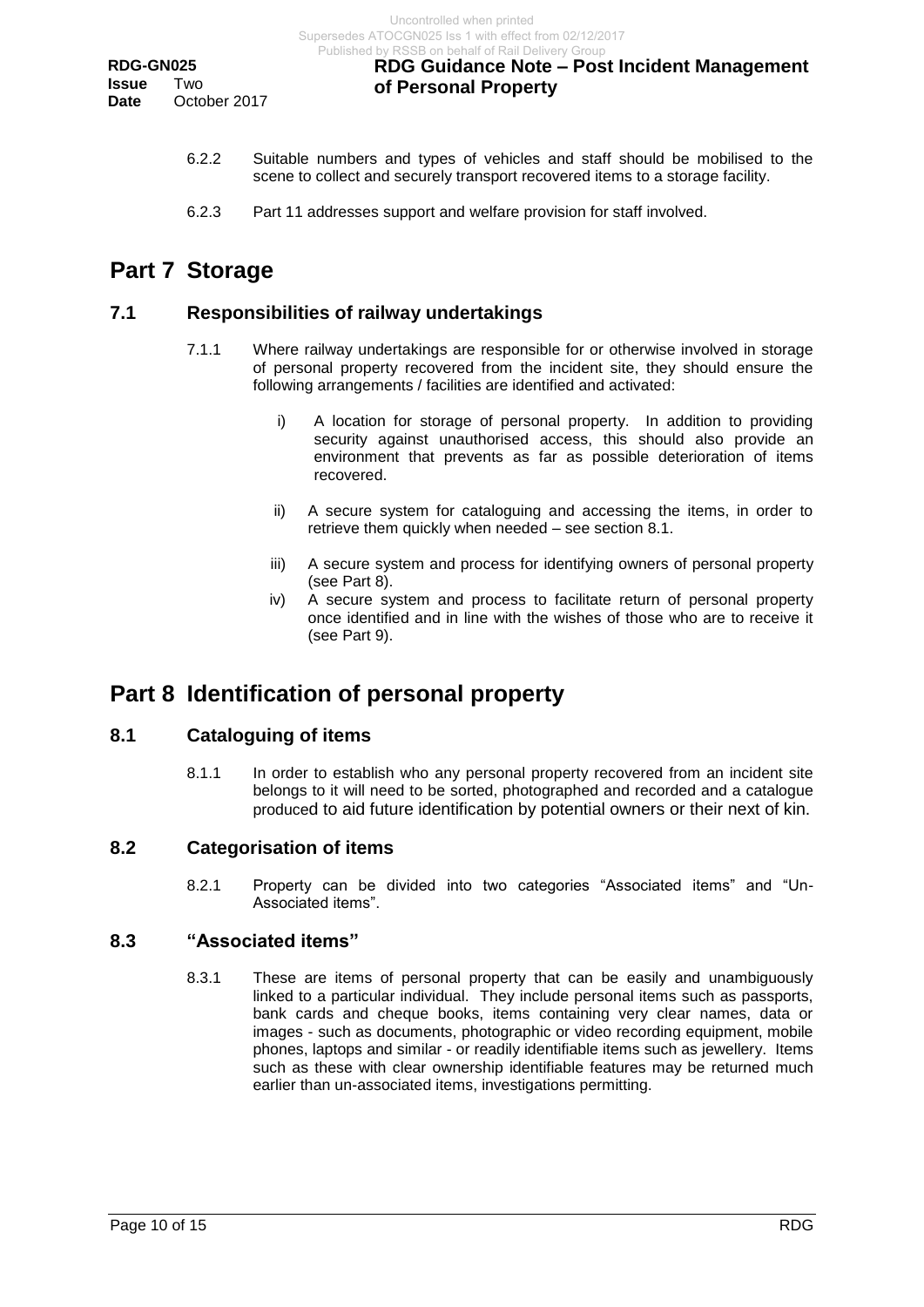- 6.2.2 Suitable numbers and types of vehicles and staff should be mobilised to the scene to collect and securely transport recovered items to a storage facility.
- 6.2.3 Part 11 addresses support and welfare provision for staff involved.

# <span id="page-9-0"></span>**Part 7 Storage**

## <span id="page-9-1"></span>**7.1 Responsibilities of railway undertakings**

- 7.1.1 Where railway undertakings are responsible for or otherwise involved in storage of personal property recovered from the incident site, they should ensure the following arrangements / facilities are identified and activated:
	- i) A location for storage of personal property. In addition to providing security against unauthorised access, this should also provide an environment that prevents as far as possible deterioration of items recovered.
	- ii) A secure system for cataloguing and accessing the items, in order to retrieve them quickly when needed – see section 8.1.
	- iii) A secure system and process for identifying owners of personal property (see Part 8).
	- iv) A secure system and process to facilitate return of personal property once identified and in line with the wishes of those who are to receive it (see Part 9).

# <span id="page-9-2"></span>**Part 8 Identification of personal property**

## <span id="page-9-3"></span>**8.1 Cataloguing of items**

8.1.1 In order to establish who any personal property recovered from an incident site belongs to it will need to be sorted, photographed and recorded and a catalogue produced to aid future identification by potential owners or their next of kin.

## <span id="page-9-4"></span>**8.2 Categorisation of items**

8.2.1 Property can be divided into two categories "Associated items" and "Un-Associated items".

#### <span id="page-9-5"></span>**8.3 "Associated items"**

8.3.1 These are items of personal property that can be easily and unambiguously linked to a particular individual. They include personal items such as passports, bank cards and cheque books, items containing very clear names, data or images - such as documents, photographic or video recording equipment, mobile phones, laptops and similar - or readily identifiable items such as jewellery. Items such as these with clear ownership identifiable features may be returned much earlier than un-associated items, investigations permitting.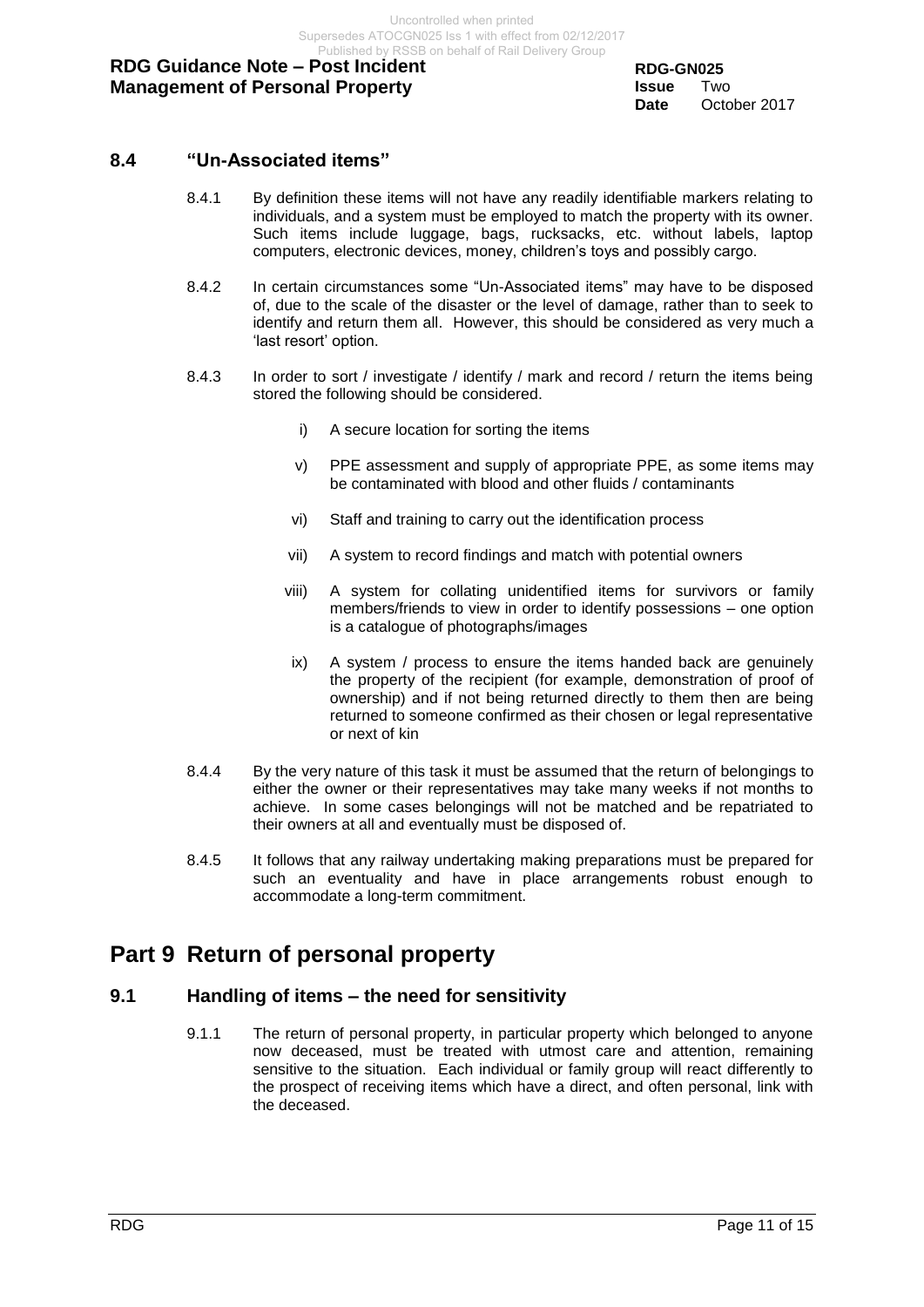### <span id="page-10-0"></span>**8.4 "Un-Associated items"**

- 8.4.1 By definition these items will not have any readily identifiable markers relating to individuals, and a system must be employed to match the property with its owner. Such items include luggage, bags, rucksacks, etc. without labels, laptop computers, electronic devices, money, children's toys and possibly cargo.
- 8.4.2 In certain circumstances some "Un-Associated items" may have to be disposed of, due to the scale of the disaster or the level of damage, rather than to seek to identify and return them all. However, this should be considered as very much a 'last resort' option.
- 8.4.3 In order to sort / investigate / identify / mark and record / return the items being stored the following should be considered.
	- i) A secure location for sorting the items
	- v) PPE assessment and supply of appropriate PPE, as some items may be contaminated with blood and other fluids / contaminants
	- vi) Staff and training to carry out the identification process
	- vii) A system to record findings and match with potential owners
	- viii) A system for collating unidentified items for survivors or family members/friends to view in order to identify possessions – one option is a catalogue of photographs/images
	- ix) A system / process to ensure the items handed back are genuinely the property of the recipient (for example, demonstration of proof of ownership) and if not being returned directly to them then are being returned to someone confirmed as their chosen or legal representative or next of kin
- 8.4.4 By the very nature of this task it must be assumed that the return of belongings to either the owner or their representatives may take many weeks if not months to achieve. In some cases belongings will not be matched and be repatriated to their owners at all and eventually must be disposed of.
- 8.4.5 It follows that any railway undertaking making preparations must be prepared for such an eventuality and have in place arrangements robust enough to accommodate a long-term commitment.

## <span id="page-10-1"></span>**Part 9 Return of personal property**

#### <span id="page-10-2"></span>**9.1 Handling of items – the need for sensitivity**

9.1.1 The return of personal property, in particular property which belonged to anyone now deceased, must be treated with utmost care and attention, remaining sensitive to the situation. Each individual or family group will react differently to the prospect of receiving items which have a direct, and often personal, link with the deceased.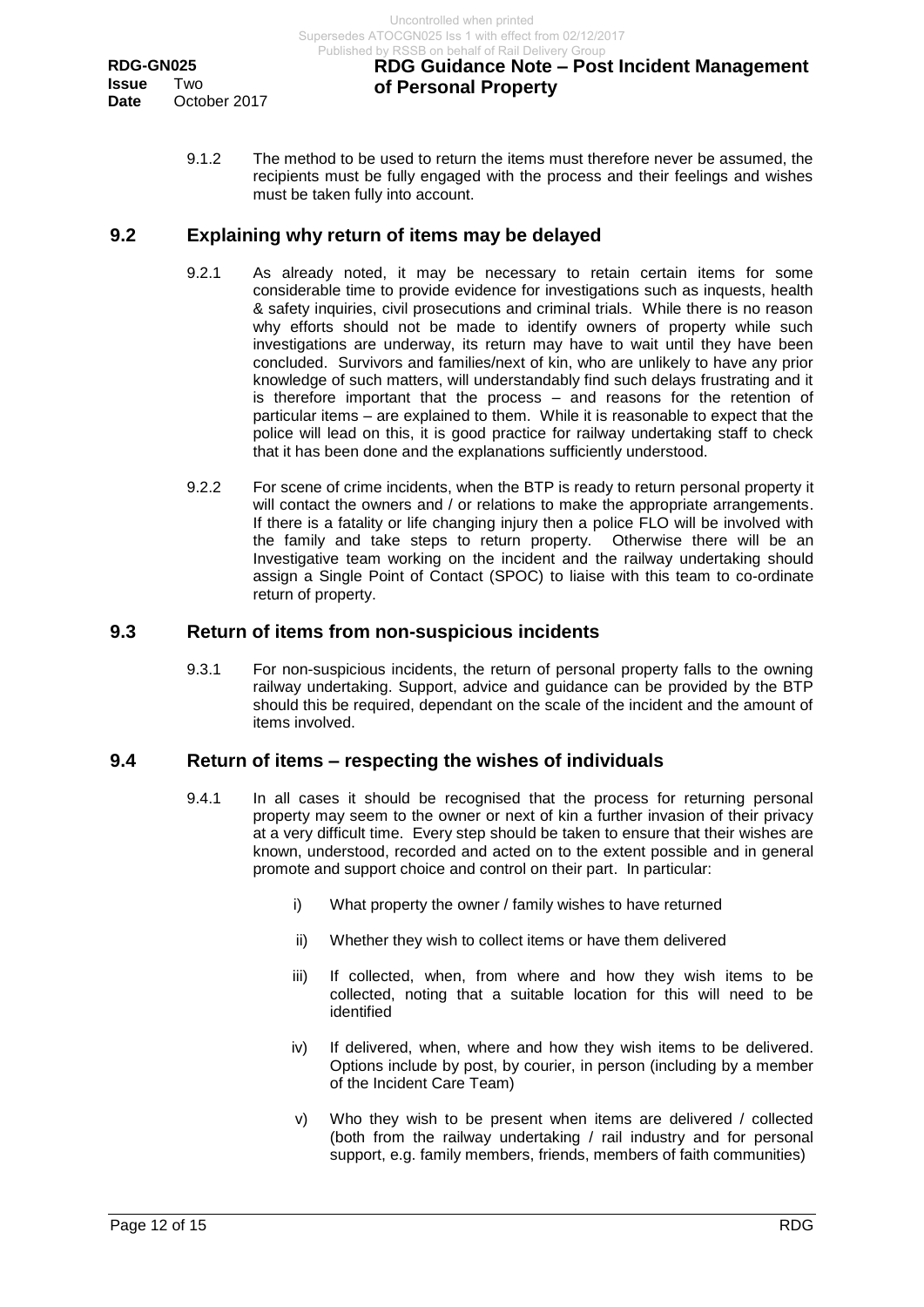9.1.2 The method to be used to return the items must therefore never be assumed, the recipients must be fully engaged with the process and their feelings and wishes must be taken fully into account.

#### <span id="page-11-0"></span>**9.2 Explaining why return of items may be delayed**

- 9.2.1 As already noted, it may be necessary to retain certain items for some considerable time to provide evidence for investigations such as inquests, health & safety inquiries, civil prosecutions and criminal trials. While there is no reason why efforts should not be made to identify owners of property while such investigations are underway, its return may have to wait until they have been concluded. Survivors and families/next of kin, who are unlikely to have any prior knowledge of such matters, will understandably find such delays frustrating and it is therefore important that the process – and reasons for the retention of particular items – are explained to them. While it is reasonable to expect that the police will lead on this, it is good practice for railway undertaking staff to check that it has been done and the explanations sufficiently understood.
- 9.2.2 For scene of crime incidents, when the BTP is ready to return personal property it will contact the owners and / or relations to make the appropriate arrangements. If there is a fatality or life changing injury then a police FLO will be involved with the family and take steps to return property. Otherwise there will be an Investigative team working on the incident and the railway undertaking should assign a Single Point of Contact (SPOC) to liaise with this team to co-ordinate return of property.

#### <span id="page-11-1"></span>**9.3 Return of items from non-suspicious incidents**

9.3.1 For non-suspicious incidents, the return of personal property falls to the owning railway undertaking. Support, advice and guidance can be provided by the BTP should this be required, dependant on the scale of the incident and the amount of items involved.

#### <span id="page-11-2"></span>**9.4 Return of items – respecting the wishes of individuals**

- 9.4.1 In all cases it should be recognised that the process for returning personal property may seem to the owner or next of kin a further invasion of their privacy at a very difficult time. Every step should be taken to ensure that their wishes are known, understood, recorded and acted on to the extent possible and in general promote and support choice and control on their part. In particular:
	- i) What property the owner / family wishes to have returned
	- ii) Whether they wish to collect items or have them delivered
	- iii) If collected, when, from where and how they wish items to be collected, noting that a suitable location for this will need to be identified
	- iv) If delivered, when, where and how they wish items to be delivered. Options include by post, by courier, in person (including by a member of the Incident Care Team)
	- v) Who they wish to be present when items are delivered / collected (both from the railway undertaking / rail industry and for personal support, e.g. family members, friends, members of faith communities)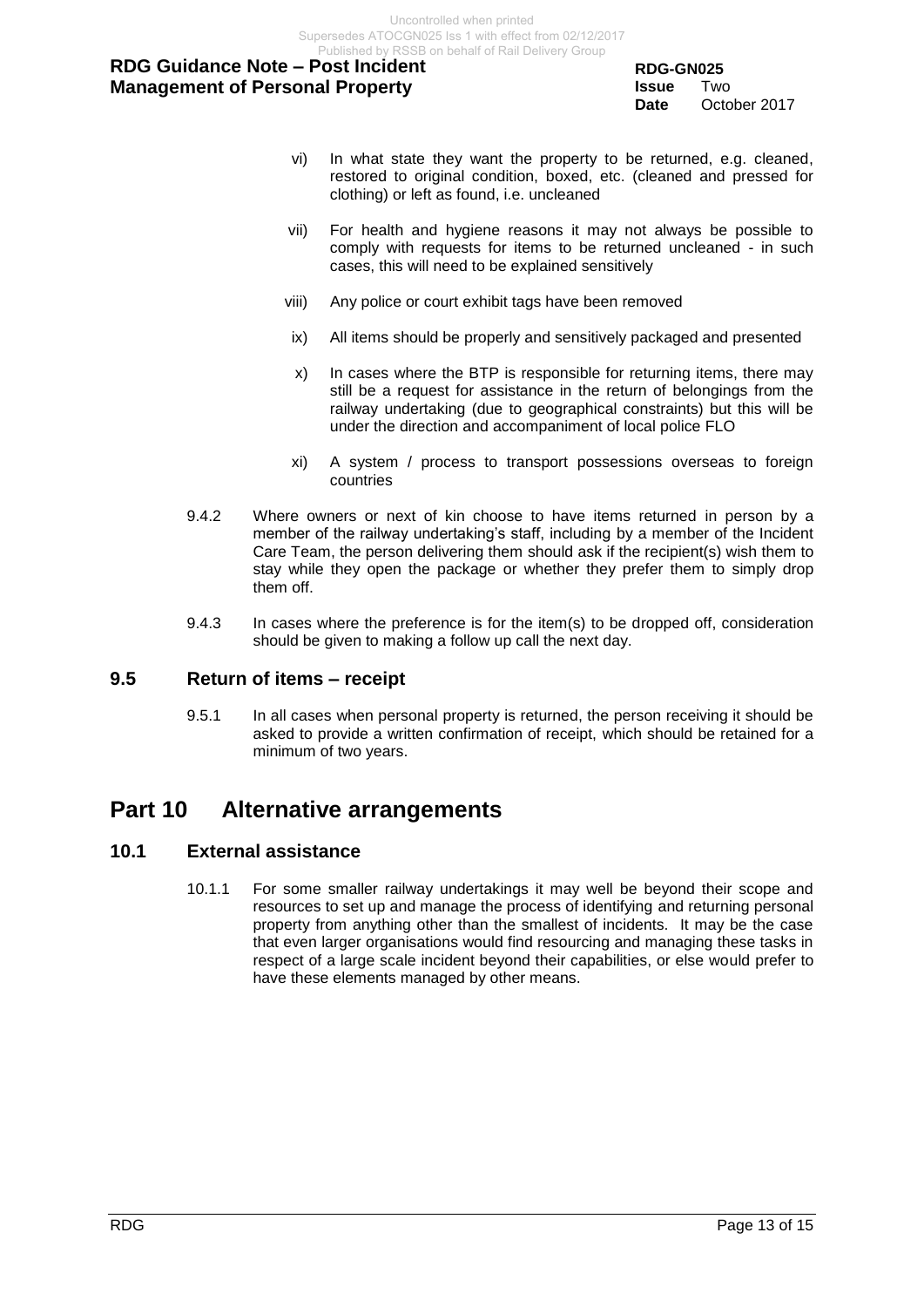**RDG-GN025 Issue** Two **Date** October 2017

- vi) In what state they want the property to be returned, e.g. cleaned, restored to original condition, boxed, etc. (cleaned and pressed for clothing) or left as found, i.e. uncleaned
- vii) For health and hygiene reasons it may not always be possible to comply with requests for items to be returned uncleaned - in such cases, this will need to be explained sensitively
- viii) Any police or court exhibit tags have been removed
- ix) All items should be properly and sensitively packaged and presented
- x) In cases where the BTP is responsible for returning items, there may still be a request for assistance in the return of belongings from the railway undertaking (due to geographical constraints) but this will be under the direction and accompaniment of local police FLO
- xi) A system / process to transport possessions overseas to foreign countries
- 9.4.2 Where owners or next of kin choose to have items returned in person by a member of the railway undertaking's staff, including by a member of the Incident Care Team, the person delivering them should ask if the recipient(s) wish them to stay while they open the package or whether they prefer them to simply drop them off.
- 9.4.3 In cases where the preference is for the item(s) to be dropped off, consideration should be given to making a follow up call the next day.

### <span id="page-12-0"></span>**9.5 Return of items – receipt**

9.5.1 In all cases when personal property is returned, the person receiving it should be asked to provide a written confirmation of receipt, which should be retained for a minimum of two years.

## <span id="page-12-1"></span>**Part 10 Alternative arrangements**

#### <span id="page-12-2"></span>**10.1 External assistance**

10.1.1 For some smaller railway undertakings it may well be beyond their scope and resources to set up and manage the process of identifying and returning personal property from anything other than the smallest of incidents. It may be the case that even larger organisations would find resourcing and managing these tasks in respect of a large scale incident beyond their capabilities, or else would prefer to have these elements managed by other means.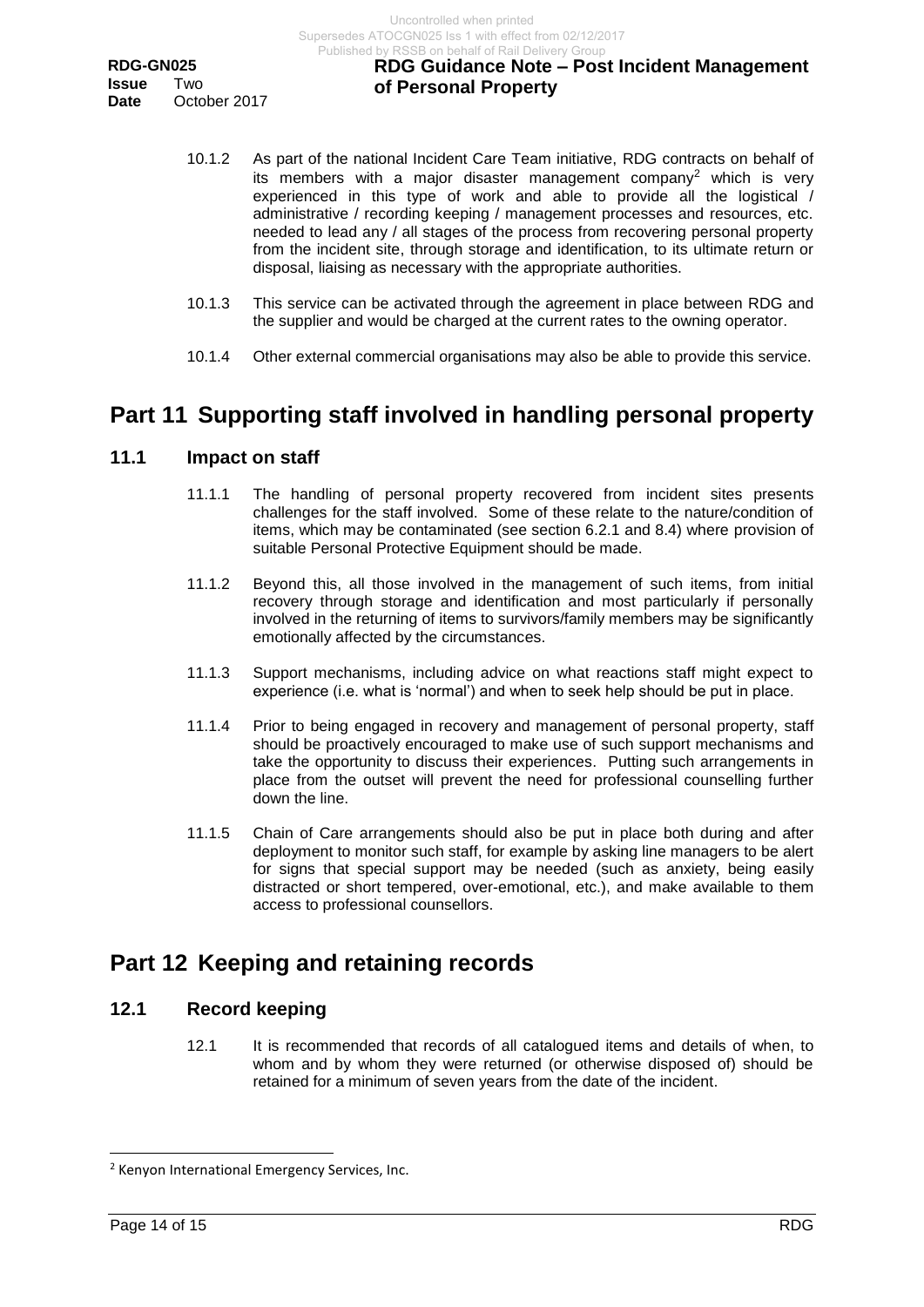- 10.1.2 As part of the national Incident Care Team initiative, RDG contracts on behalf of its members with a major disaster management company<sup>2</sup> which is very experienced in this type of work and able to provide all the logistical / administrative / recording keeping / management processes and resources, etc. needed to lead any / all stages of the process from recovering personal property from the incident site, through storage and identification, to its ultimate return or disposal, liaising as necessary with the appropriate authorities.
- 10.1.3 This service can be activated through the agreement in place between RDG and the supplier and would be charged at the current rates to the owning operator.
- 10.1.4 Other external commercial organisations may also be able to provide this service.

# <span id="page-13-0"></span>**Part 11 Supporting staff involved in handling personal property**

#### <span id="page-13-1"></span>**11.1 Impact on staff**

- 11.1.1 The handling of personal property recovered from incident sites presents challenges for the staff involved. Some of these relate to the nature/condition of items, which may be contaminated (see section 6.2.1 and 8.4) where provision of suitable Personal Protective Equipment should be made.
- 11.1.2 Beyond this, all those involved in the management of such items, from initial recovery through storage and identification and most particularly if personally involved in the returning of items to survivors/family members may be significantly emotionally affected by the circumstances.
- 11.1.3 Support mechanisms, including advice on what reactions staff might expect to experience (i.e. what is 'normal') and when to seek help should be put in place.
- 11.1.4 Prior to being engaged in recovery and management of personal property, staff should be proactively encouraged to make use of such support mechanisms and take the opportunity to discuss their experiences. Putting such arrangements in place from the outset will prevent the need for professional counselling further down the line.
- 11.1.5 Chain of Care arrangements should also be put in place both during and after deployment to monitor such staff, for example by asking line managers to be alert for signs that special support may be needed (such as anxiety, being easily distracted or short tempered, over-emotional, etc.), and make available to them access to professional counsellors.

# <span id="page-13-2"></span>**Part 12 Keeping and retaining records**

#### <span id="page-13-3"></span>**12.1 Record keeping**

12.1 It is recommended that records of all catalogued items and details of when, to whom and by whom they were returned (or otherwise disposed of) should be retained for a minimum of seven years from the date of the incident.

l

<sup>2</sup> Kenyon International Emergency Services, Inc.